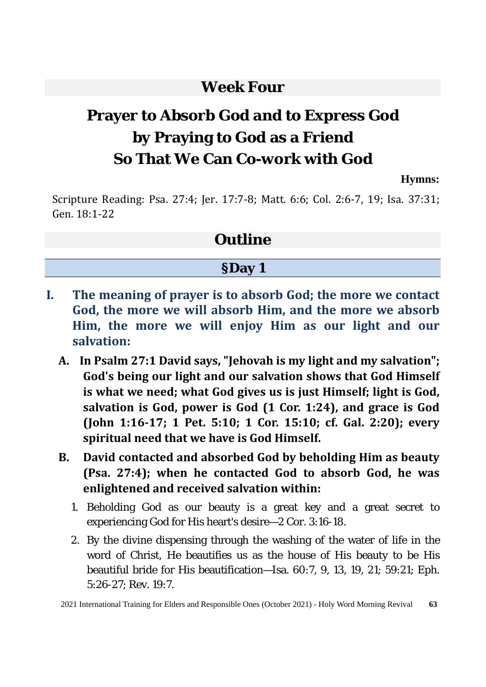#### **Week Four**

# **Prayer to Absorb God and to Express God by Praying to God as a Friend So That We Can Co-work with God**

#### **Hymns:**

Scripture Reading: Psa. 27:4; Jer. 17:7-8; Matt. 6:6; Col. 2:6-7, 19; Isa. 37:31; Gen. 18:1-22

#### **Outline**

#### **§Day 1**

- **I. The meaning of prayer is to absorb God; the more we contact God, the more we will absorb Him, and the more we absorb Him, the more we will enjoy Him as our light and our salvation:** 
	- **A. In Psalm 27:1 David says, "Jehovah is my light and my salvation"; God's being our light and our salvation shows that God Himself is what we need; what God gives us is just Himself; light is God, salvation is God, power is God (1 Cor. 1:24), and grace is God (John 1:16-17; 1 Pet. 5:10; 1 Cor. 15:10; cf. Gal. 2:20); every spiritual need that we have is God Himself.**
	- **B. David contacted and absorbed God by beholding Him as beauty (Psa. 27:4); when he contacted God to absorb God, he was enlightened and received salvation within:**
		- 1. Beholding God as our beauty is a great key and a great secret to experiencing God for His heart's desire—2 Cor. 3:16-18.
		- 2. By the divine dispensing through the washing of the water of life in the word of Christ, He beautifies us as the house of His beauty to be His beautiful bride for His beautification—Isa. 60:7, 9, 13, 19, 21; 59:21; Eph. 5:26-27; Rev. 19:7.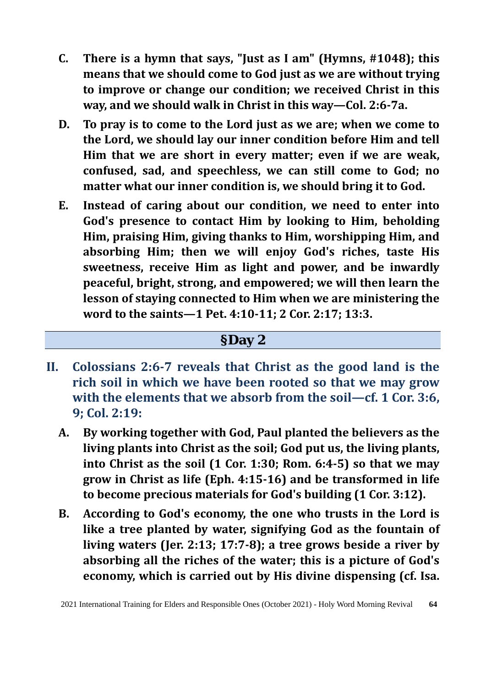- **C. There is a hymn that says, "Just as I am" (Hymns, #1048); this means that we should come to God just as we are without trying to improve or change our condition; we received Christ in this way, and we should walk in Christ in this way—Col. 2:6-7a.**
- **D. To pray is to come to the Lord just as we are; when we come to the Lord, we should lay our inner condition before Him and tell Him that we are short in every matter; even if we are weak, confused, sad, and speechless, we can still come to God; no matter what our inner condition is, we should bring it to God.**
- **E. Instead of caring about our condition, we need to enter into God's presence to contact Him by looking to Him, beholding Him, praising Him, giving thanks to Him, worshipping Him, and absorbing Him; then we will enjoy God's riches, taste His sweetness, receive Him as light and power, and be inwardly peaceful, bright, strong, and empowered; we will then learn the lesson of staying connected to Him when we are ministering the word to the saints—1 Pet. 4:10-11; 2 Cor. 2:17; 13:3.**

#### **§Day 2**

- **II. Colossians 2:6-7 reveals that Christ as the good land is the rich soil in which we have been rooted so that we may grow with the elements that we absorb from the soil—cf. 1 Cor. 3:6, 9; Col. 2:19:**
	- **A. By working together with God, Paul planted the believers as the living plants into Christ as the soil; God put us, the living plants, into Christ as the soil (1 Cor. 1:30; Rom. 6:4-5) so that we may grow in Christ as life (Eph. 4:15-16) and be transformed in life to become precious materials for God's building (1 Cor. 3:12).**
	- **B. According to God's economy, the one who trusts in the Lord is like a tree planted by water, signifying God as the fountain of living waters (Jer. 2:13; 17:7-8); a tree grows beside a river by absorbing all the riches of the water; this is a picture of God's economy, which is carried out by His divine dispensing (cf. Isa.**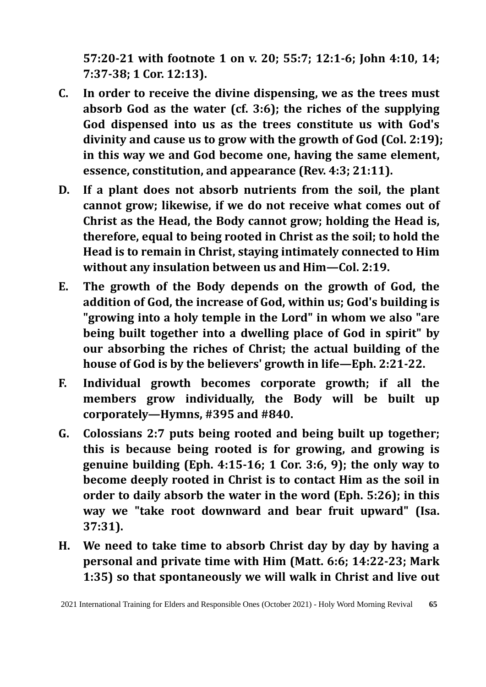**57:20-21 with footnote 1 on v. 20; 55:7; 12:1-6; John 4:10, 14; 7:37-38; 1 Cor. 12:13).** 

- **C. In order to receive the divine dispensing, we as the trees must absorb God as the water (cf. 3:6); the riches of the supplying God dispensed into us as the trees constitute us with God's divinity and cause us to grow with the growth of God (Col. 2:19); in this way we and God become one, having the same element, essence, constitution, and appearance (Rev. 4:3; 21:11).**
- **D. If a plant does not absorb nutrients from the soil, the plant cannot grow; likewise, if we do not receive what comes out of Christ as the Head, the Body cannot grow; holding the Head is, therefore, equal to being rooted in Christ as the soil; to hold the Head is to remain in Christ, staying intimately connected to Him without any insulation between us and Him—Col. 2:19.**
- **E. The growth of the Body depends on the growth of God, the addition of God, the increase of God, within us; God's building is "growing into a holy temple in the Lord" in whom we also "are being built together into a dwelling place of God in spirit" by our absorbing the riches of Christ; the actual building of the house of God is by the believers' growth in life—Eph. 2:21-22.**
- **F. Individual growth becomes corporate growth; if all the members grow individually, the Body will be built up corporately—Hymns, #395 and #840.**
- **G. Colossians 2:7 puts being rooted and being built up together; this is because being rooted is for growing, and growing is genuine building (Eph. 4:15-16; 1 Cor. 3:6, 9); the only way to become deeply rooted in Christ is to contact Him as the soil in order to daily absorb the water in the word (Eph. 5:26); in this way we "take root downward and bear fruit upward" (Isa. 37:31).**
- **H. We need to take time to absorb Christ day by day by having a personal and private time with Him (Matt. 6:6; 14:22-23; Mark 1:35) so that spontaneously we will walk in Christ and live out**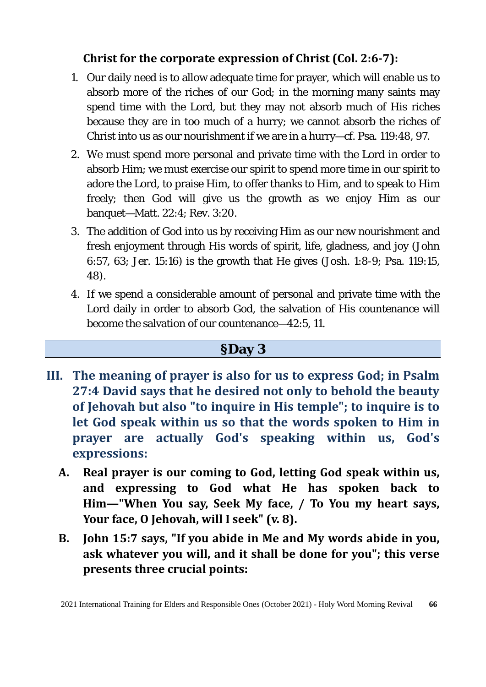**Christ for the corporate expression of Christ (Col. 2:6-7):** 

- 1. Our daily need is to allow adequate time for prayer, which will enable us to absorb more of the riches of our God; in the morning many saints may spend time with the Lord, but they may not absorb much of His riches because they are in too much of a hurry; we cannot absorb the riches of Christ into us as our nourishment if we are in a hurry—cf. Psa. 119:48, 97.
- 2. We must spend more personal and private time with the Lord in order to absorb Him; we must exercise our spirit to spend more time in our spirit to adore the Lord, to praise Him, to offer thanks to Him, and to speak to Him freely; then God will give us the growth as we enjoy Him as our banquet—Matt. 22:4; Rev. 3:20.
- 3. The addition of God into us by receiving Him as our new nourishment and fresh enjoyment through His words of spirit, life, gladness, and joy (John 6:57, 63; Jer. 15:16) is the growth that He gives (Josh. 1:8-9; Psa. 119:15, 48).
- 4. If we spend a considerable amount of personal and private time with the Lord daily in order to absorb God, the salvation of His countenance will become the salvation of our countenance—42:5, 11.

### **§Day 3**

- **III. The meaning of prayer is also for us to express God; in Psalm 27:4 David says that he desired not only to behold the beauty of Jehovah but also "to inquire in His temple"; to inquire is to let God speak within us so that the words spoken to Him in prayer are actually God's speaking within us, God's expressions:**
	- **A. Real prayer is our coming to God, letting God speak within us, and expressing to God what He has spoken back to Him—"When You say, Seek My face, / To You my heart says,**  Your face, O Jehovah, will I seek" (v. 8).
	- **B. John 15:7 says, "If you abide in Me and My words abide in you, ask whatever you will, and it shall be done for you"; this verse presents three crucial points:**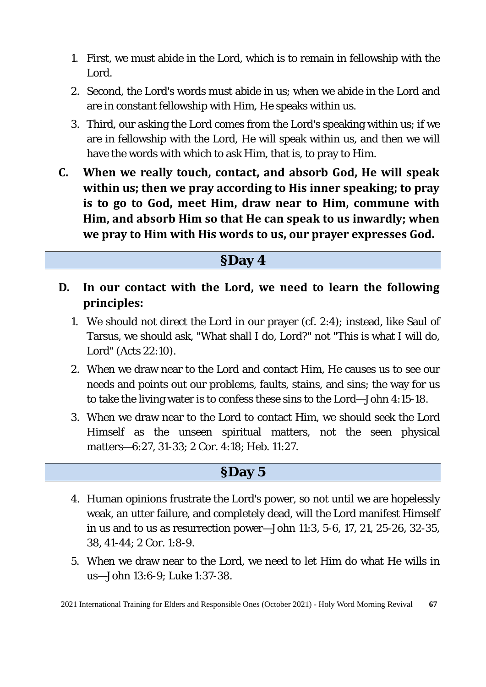- 1. First, we must abide in the Lord, which is to remain in fellowship with the Lord.
- 2. Second, the Lord's words must abide in us; when we abide in the Lord and are in constant fellowship with Him, He speaks within us.
- 3. Third, our asking the Lord comes from the Lord's speaking within us; if we are in fellowship with the Lord, He will speak within us, and then we will have the words with which to ask Him, that is, to pray to Him.
- **C. When we really touch, contact, and absorb God, He will speak within us; then we pray according to His inner speaking; to pray is to go to God, meet Him, draw near to Him, commune with Him, and absorb Him so that He can speak to us inwardly; when we pray to Him with His words to us, our prayer expresses God.**

#### **§Day 4**

- **D. In our contact with the Lord, we need to learn the following principles:**
	- 1. We should not direct the Lord in our prayer (cf. 2:4); instead, like Saul of Tarsus, we should ask, "What shall I do, Lord?" not "This is what I will do, Lord" (Acts 22:10).
	- 2. When we draw near to the Lord and contact Him, He causes us to see our needs and points out our problems, faults, stains, and sins; the way for us to take the living water is to confess these sins to the Lord—John 4:15-18.
	- 3. When we draw near to the Lord to contact Him, we should seek the Lord Himself as the unseen spiritual matters, not the seen physical matters—6:27, 31-33; 2 Cor. 4:18; Heb. 11:27.

#### **§Day 5**

- 4. Human opinions frustrate the Lord's power, so not until we are hopelessly weak, an utter failure, and completely dead, will the Lord manifest Himself in us and to us as resurrection power—John 11:3, 5-6, 17, 21, 25-26, 32-35, 38, 41-44; 2 Cor. 1:8-9.
- 5. When we draw near to the Lord, we need to let Him do what He wills in us—John 13:6-9; Luke 1:37-38.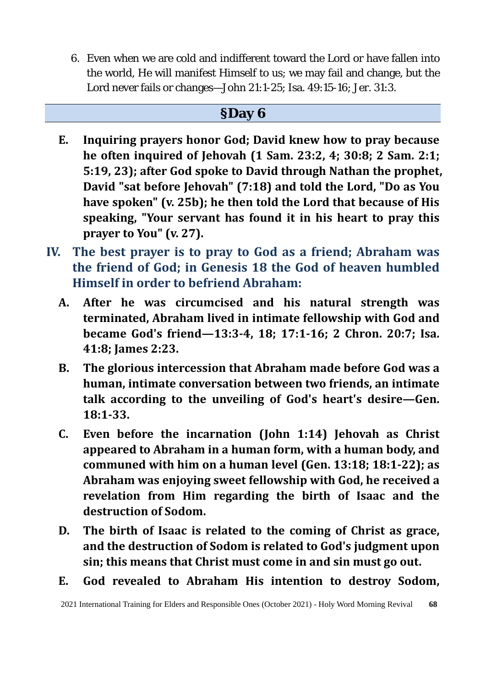6. Even when we are cold and indifferent toward the Lord or have fallen into the world, He will manifest Himself to us; we may fail and change, but the Lord never fails or changes—John 21:1-25; Isa. 49:15-16; Jer. 31:3.

#### **§Day 6**

- **E. Inquiring prayers honor God; David knew how to pray because he often inquired of Jehovah (1 Sam. 23:2, 4; 30:8; 2 Sam. 2:1; 5:19, 23); after God spoke to David through Nathan the prophet, David "sat before Jehovah" (7:18) and told the Lord, "Do as You have spoken" (v. 25b); he then told the Lord that because of His speaking, "Your servant has found it in his heart to pray this prayer to You" (v. 27).**
- **IV. The best prayer is to pray to God as a friend; Abraham was the friend of God; in Genesis 18 the God of heaven humbled Himself in order to befriend Abraham:**
	- **A. After he was circumcised and his natural strength was terminated, Abraham lived in intimate fellowship with God and became God's friend—13:3-4, 18; 17:1-16; 2 Chron. 20:7; Isa. 41:8; James 2:23.**
	- **B. The glorious intercession that Abraham made before God was a human, intimate conversation between two friends, an intimate talk according to the unveiling of God's heart's desire—Gen. 18:1-33.**
	- **C. Even before the incarnation (John 1:14) Jehovah as Christ appeared to Abraham in a human form, with a human body, and communed with him on a human level (Gen. 13:18; 18:1-22); as Abraham was enjoying sweet fellowship with God, he received a revelation from Him regarding the birth of Isaac and the destruction of Sodom.**
	- **D. The birth of Isaac is related to the coming of Christ as grace, and the destruction of Sodom is related to God's judgment upon sin; this means that Christ must come in and sin must go out.**
	- **E. God revealed to Abraham His intention to destroy Sodom,**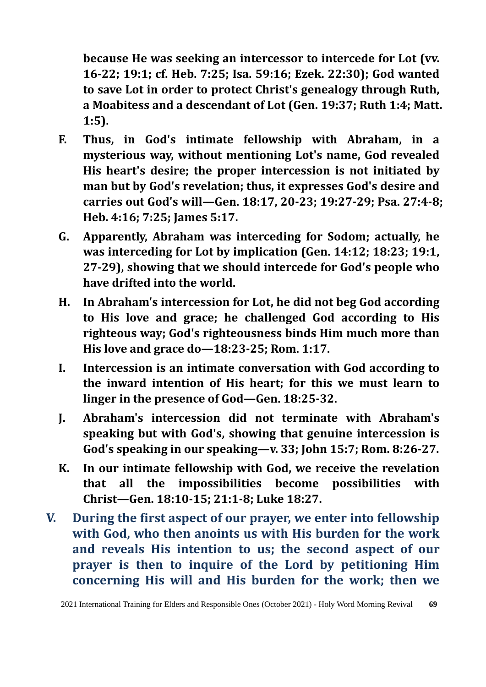**because He was seeking an intercessor to intercede for Lot (vv. 16-22; 19:1; cf. Heb. 7:25; Isa. 59:16; Ezek. 22:30); God wanted to save Lot in order to protect Christ's genealogy through Ruth, a Moabitess and a descendant of Lot (Gen. 19:37; Ruth 1:4; Matt. 1:5).** 

- **F. Thus, in God's intimate fellowship with Abraham, in a mysterious way, without mentioning Lot's name, God revealed His heart's desire; the proper intercession is not initiated by man but by God's revelation; thus, it expresses God's desire and carries out God's will—Gen. 18:17, 20-23; 19:27-29; Psa. 27:4-8; Heb. 4:16; 7:25; James 5:17.**
- **G. Apparently, Abraham was interceding for Sodom; actually, he was interceding for Lot by implication (Gen. 14:12; 18:23; 19:1, 27-29), showing that we should intercede for God's people who have drifted into the world.**
- **H. In Abraham's intercession for Lot, he did not beg God according to His love and grace; he challenged God according to His righteous way; God's righteousness binds Him much more than His love and grace do—18:23-25; Rom. 1:17.**
- **I. Intercession is an intimate conversation with God according to the inward intention of His heart; for this we must learn to linger in the presence of God—Gen. 18:25-32.**
- **J. Abraham's intercession did not terminate with Abraham's speaking but with God's, showing that genuine intercession is God's speaking in our speaking—v. 33; John 15:7; Rom. 8:26-27.**
- **K. In our intimate fellowship with God, we receive the revelation that all the impossibilities become possibilities with Christ—Gen. 18:10-15; 21:1-8; Luke 18:27.**
- **V. During the first aspect of our prayer, we enter into fellowship with God, who then anoints us with His burden for the work and reveals His intention to us; the second aspect of our prayer is then to inquire of the Lord by petitioning Him concerning His will and His burden for the work; then we**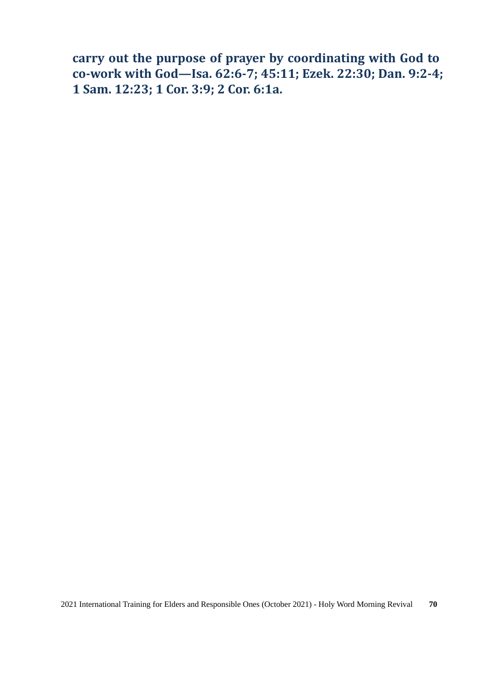**carry out the purpose of prayer by coordinating with God to co-work with God—Isa. 62:6-7; 45:11; Ezek. 22:30; Dan. 9:2-4; 1 Sam. 12:23; 1 Cor. 3:9; 2 Cor. 6:1a.**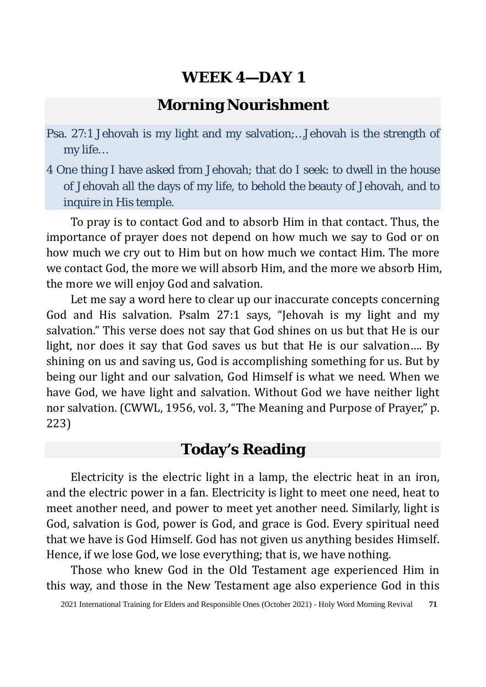### **Morning Nourishment**

Psa. 27:1 Jehovah is my light and my salvation;…Jehovah is the strength of my life…

4 One thing I have asked from Jehovah; that do I seek: to dwell in the house of Jehovah all the days of my life, to behold the beauty of Jehovah, and to inquire in His temple.

To pray is to contact God and to absorb Him in that contact. Thus, the importance of prayer does not depend on how much we say to God or on how much we cry out to Him but on how much we contact Him. The more we contact God, the more we will absorb Him, and the more we absorb Him, the more we will enjoy God and salvation.

Let me say a word here to clear up our inaccurate concepts concerning God and His salvation. Psalm 27:1 says, "Jehovah is my light and my salvation." This verse does not say that God shines on us but that He is our light, nor does it say that God saves us but that He is our salvation…. By shining on us and saving us, God is accomplishing something for us. But by being our light and our salvation, God Himself is what we need. When we have God, we have light and salvation. Without God we have neither light nor salvation. (CWWL, 1956, vol. 3, "The Meaning and Purpose of Prayer," p. 223)

### **Today's Reading**

Electricity is the electric light in a lamp, the electric heat in an iron, and the electric power in a fan. Electricity is light to meet one need, heat to meet another need, and power to meet yet another need. Similarly, light is God, salvation is God, power is God, and grace is God. Every spiritual need that we have is God Himself. God has not given us anything besides Himself. Hence, if we lose God, we lose everything; that is, we have nothing.

Those who knew God in the Old Testament age experienced Him in this way, and those in the New Testament age also experience God in this

<sup>2021</sup> International Training for Elders and Responsible Ones (October 2021) - Holy Word Morning Revival **71**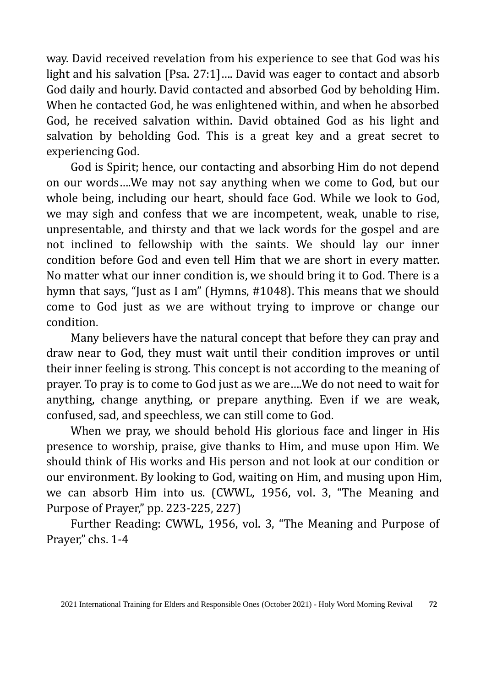way. David received revelation from his experience to see that God was his light and his salvation [Psa. 27:1]…. David was eager to contact and absorb God daily and hourly. David contacted and absorbed God by beholding Him. When he contacted God, he was enlightened within, and when he absorbed God, he received salvation within. David obtained God as his light and salvation by beholding God. This is a great key and a great secret to experiencing God.

God is Spirit; hence, our contacting and absorbing Him do not depend on our words….We may not say anything when we come to God, but our whole being, including our heart, should face God. While we look to God, we may sigh and confess that we are incompetent, weak, unable to rise, unpresentable, and thirsty and that we lack words for the gospel and are not inclined to fellowship with the saints. We should lay our inner condition before God and even tell Him that we are short in every matter. No matter what our inner condition is, we should bring it to God. There is a hymn that says, "Just as I am" (Hymns, #1048). This means that we should come to God just as we are without trying to improve or change our condition.

Many believers have the natural concept that before they can pray and draw near to God, they must wait until their condition improves or until their inner feeling is strong. This concept is not according to the meaning of prayer. To pray is to come to God just as we are….We do not need to wait for anything, change anything, or prepare anything. Even if we are weak, confused, sad, and speechless, we can still come to God.

When we pray, we should behold His glorious face and linger in His presence to worship, praise, give thanks to Him, and muse upon Him. We should think of His works and His person and not look at our condition or our environment. By looking to God, waiting on Him, and musing upon Him, we can absorb Him into us. (CWWL, 1956, vol. 3, "The Meaning and Purpose of Prayer," pp. 223-225, 227)

Further Reading: CWWL, 1956, vol. 3, "The Meaning and Purpose of Prayer," chs. 1-4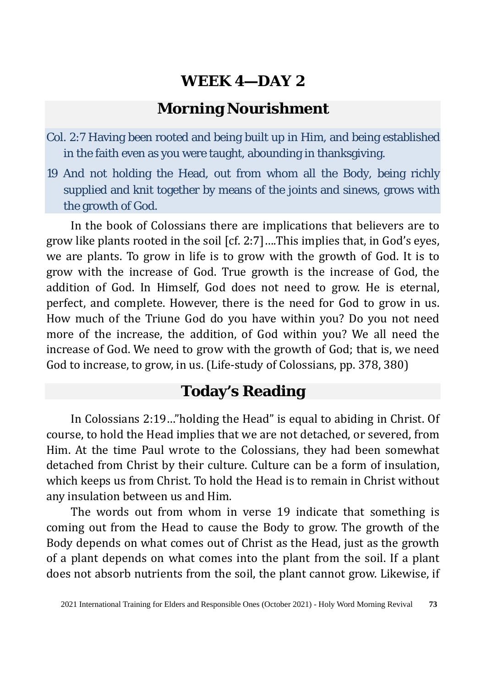### **Morning Nourishment**

- Col. 2:7 Having been rooted and being built up in Him, and being established in the faith even as you were taught, abounding in thanksgiving.
- 19 And not holding the Head, out from whom all the Body, being richly supplied and knit together by means of the joints and sinews, grows with the growth of God.

In the book of Colossians there are implications that believers are to grow like plants rooted in the soil [cf. 2:7]….This implies that, in God's eyes, we are plants. To grow in life is to grow with the growth of God. It is to grow with the increase of God. True growth is the increase of God, the addition of God. In Himself, God does not need to grow. He is eternal, perfect, and complete. However, there is the need for God to grow in us. How much of the Triune God do you have within you? Do you not need more of the increase, the addition, of God within you? We all need the increase of God. We need to grow with the growth of God; that is, we need God to increase, to grow, in us. (Life-study of Colossians, pp. 378, 380)

# **Today's Reading**

In Colossians 2:19…"holding the Head" is equal to abiding in Christ. Of course, to hold the Head implies that we are not detached, or severed, from Him. At the time Paul wrote to the Colossians, they had been somewhat detached from Christ by their culture. Culture can be a form of insulation, which keeps us from Christ. To hold the Head is to remain in Christ without any insulation between us and Him.

The words out from whom in verse 19 indicate that something is coming out from the Head to cause the Body to grow. The growth of the Body depends on what comes out of Christ as the Head, just as the growth of a plant depends on what comes into the plant from the soil. If a plant does not absorb nutrients from the soil, the plant cannot grow. Likewise, if

<sup>2021</sup> International Training for Elders and Responsible Ones (October 2021) - Holy Word Morning Revival **73**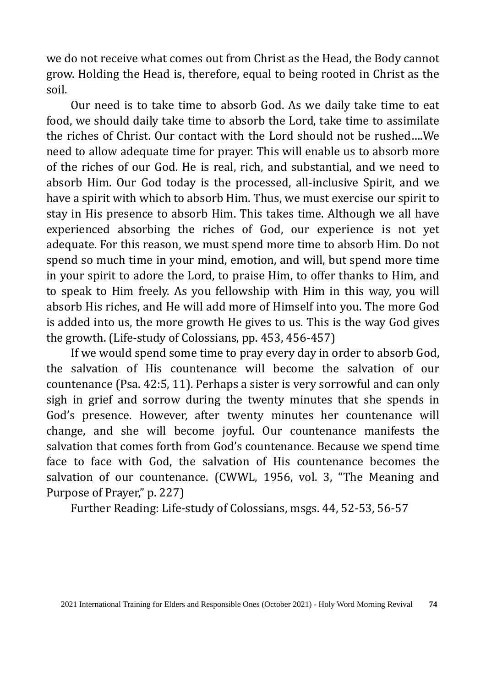we do not receive what comes out from Christ as the Head, the Body cannot grow. Holding the Head is, therefore, equal to being rooted in Christ as the soil.

Our need is to take time to absorb God. As we daily take time to eat food, we should daily take time to absorb the Lord, take time to assimilate the riches of Christ. Our contact with the Lord should not be rushed….We need to allow adequate time for prayer. This will enable us to absorb more of the riches of our God. He is real, rich, and substantial, and we need to absorb Him. Our God today is the processed, all-inclusive Spirit, and we have a spirit with which to absorb Him. Thus, we must exercise our spirit to stay in His presence to absorb Him. This takes time. Although we all have experienced absorbing the riches of God, our experience is not yet adequate. For this reason, we must spend more time to absorb Him. Do not spend so much time in your mind, emotion, and will, but spend more time in your spirit to adore the Lord, to praise Him, to offer thanks to Him, and to speak to Him freely. As you fellowship with Him in this way, you will absorb His riches, and He will add more of Himself into you. The more God is added into us, the more growth He gives to us. This is the way God gives the growth. (Life-study of Colossians, pp. 453, 456-457)

If we would spend some time to pray every day in order to absorb God, the salvation of His countenance will become the salvation of our countenance (Psa. 42:5, 11). Perhaps a sister is very sorrowful and can only sigh in grief and sorrow during the twenty minutes that she spends in God's presence. However, after twenty minutes her countenance will change, and she will become joyful. Our countenance manifests the salvation that comes forth from God's countenance. Because we spend time face to face with God, the salvation of His countenance becomes the salvation of our countenance. (CWWL, 1956, vol. 3, "The Meaning and Purpose of Prayer," p. 227)

Further Reading: Life-study of Colossians, msgs. 44, 52-53, 56-57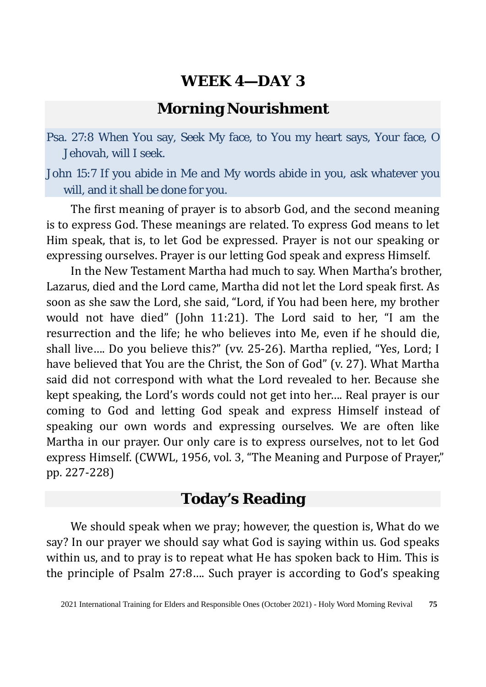### **Morning Nourishment**

Psa. 27:8 When You say, Seek My face, to You my heart says, Your face, O Jehovah, will I seek.

John 15:7 If you abide in Me and My words abide in you, ask whatever you will, and it shall be done for you.

The first meaning of prayer is to absorb God, and the second meaning is to express God. These meanings are related. To express God means to let Him speak, that is, to let God be expressed. Prayer is not our speaking or expressing ourselves. Prayer is our letting God speak and express Himself.

In the New Testament Martha had much to say. When Martha's brother, Lazarus, died and the Lord came, Martha did not let the Lord speak first. As soon as she saw the Lord, she said, "Lord, if You had been here, my brother would not have died" (John 11:21). The Lord said to her, "I am the resurrection and the life; he who believes into Me, even if he should die, shall live…. Do you believe this?" (vv. 25-26). Martha replied, "Yes, Lord; I have believed that You are the Christ, the Son of God" (v. 27). What Martha said did not correspond with what the Lord revealed to her. Because she kept speaking, the Lord's words could not get into her…. Real prayer is our coming to God and letting God speak and express Himself instead of speaking our own words and expressing ourselves. We are often like Martha in our prayer. Our only care is to express ourselves, not to let God express Himself. (CWWL, 1956, vol. 3, "The Meaning and Purpose of Prayer," pp. 227-228)

# **Today's Reading**

We should speak when we pray; however, the question is, What do we say? In our prayer we should say what God is saying within us. God speaks within us, and to pray is to repeat what He has spoken back to Him. This is the principle of Psalm 27:8…. Such prayer is according to God's speaking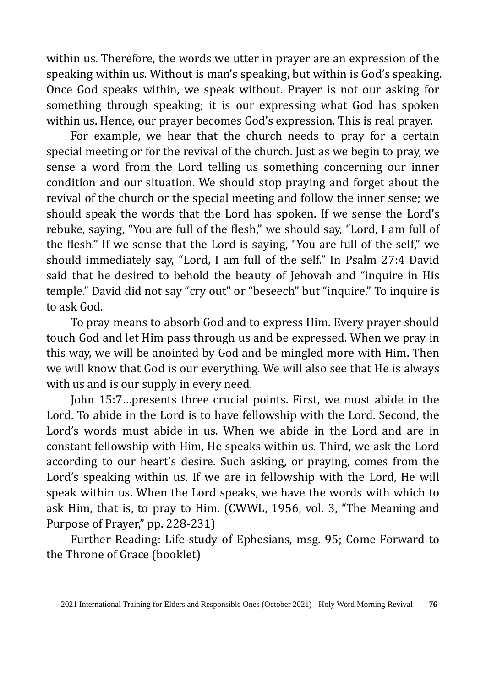within us. Therefore, the words we utter in prayer are an expression of the speaking within us. Without is man's speaking, but within is God's speaking. Once God speaks within, we speak without. Prayer is not our asking for something through speaking; it is our expressing what God has spoken within us. Hence, our prayer becomes God's expression. This is real prayer.

For example, we hear that the church needs to pray for a certain special meeting or for the revival of the church. Just as we begin to pray, we sense a word from the Lord telling us something concerning our inner condition and our situation. We should stop praying and forget about the revival of the church or the special meeting and follow the inner sense; we should speak the words that the Lord has spoken. If we sense the Lord's rebuke, saying, "You are full of the flesh," we should say, "Lord, I am full of the flesh." If we sense that the Lord is saying, "You are full of the self," we should immediately say, "Lord, I am full of the self." In Psalm 27:4 David said that he desired to behold the beauty of Jehovah and "inquire in His temple." David did not say "cry out" or "beseech" but "inquire." To inquire is to ask God.

To pray means to absorb God and to express Him. Every prayer should touch God and let Him pass through us and be expressed. When we pray in this way, we will be anointed by God and be mingled more with Him. Then we will know that God is our everything. We will also see that He is always with us and is our supply in every need.

John 15:7…presents three crucial points. First, we must abide in the Lord. To abide in the Lord is to have fellowship with the Lord. Second, the Lord's words must abide in us. When we abide in the Lord and are in constant fellowship with Him, He speaks within us. Third, we ask the Lord according to our heart's desire. Such asking, or praying, comes from the Lord's speaking within us. If we are in fellowship with the Lord, He will speak within us. When the Lord speaks, we have the words with which to ask Him, that is, to pray to Him. (CWWL, 1956, vol. 3, "The Meaning and Purpose of Prayer," pp. 228-231)

Further Reading: Life-study of Ephesians, msg. 95; Come Forward to the Throne of Grace (booklet)

<sup>2021</sup> International Training for Elders and Responsible Ones (October 2021) - Holy Word Morning Revival **76**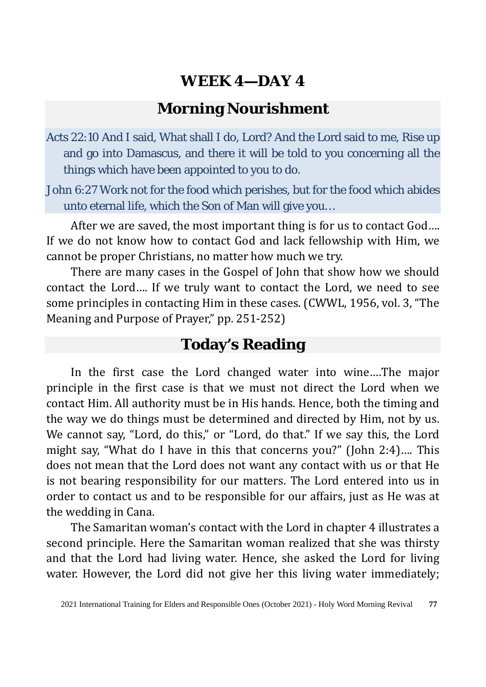### **Morning Nourishment**

Acts 22:10 And I said, What shall I do, Lord? And the Lord said to me, Rise up and go into Damascus, and there it will be told to you concerning all the things which have been appointed to you to do.

John 6:27 Work not for the food which perishes, but for the food which abides unto eternal life, which the Son of Man will give you…

After we are saved, the most important thing is for us to contact God…. If we do not know how to contact God and lack fellowship with Him, we cannot be proper Christians, no matter how much we try.

There are many cases in the Gospel of John that show how we should contact the Lord…. If we truly want to contact the Lord, we need to see some principles in contacting Him in these cases. (CWWL, 1956, vol. 3, "The Meaning and Purpose of Prayer," pp. 251-252)

## **Today's Reading**

In the first case the Lord changed water into wine….The major principle in the first case is that we must not direct the Lord when we contact Him. All authority must be in His hands. Hence, both the timing and the way we do things must be determined and directed by Him, not by us. We cannot say, "Lord, do this," or "Lord, do that." If we say this, the Lord might say, "What do I have in this that concerns you?" (John 2:4)…. This does not mean that the Lord does not want any contact with us or that He is not bearing responsibility for our matters. The Lord entered into us in order to contact us and to be responsible for our affairs, just as He was at the wedding in Cana.

The Samaritan woman's contact with the Lord in chapter 4 illustrates a second principle. Here the Samaritan woman realized that she was thirsty and that the Lord had living water. Hence, she asked the Lord for living water. However, the Lord did not give her this living water immediately;

<sup>2021</sup> International Training for Elders and Responsible Ones (October 2021) - Holy Word Morning Revival **77**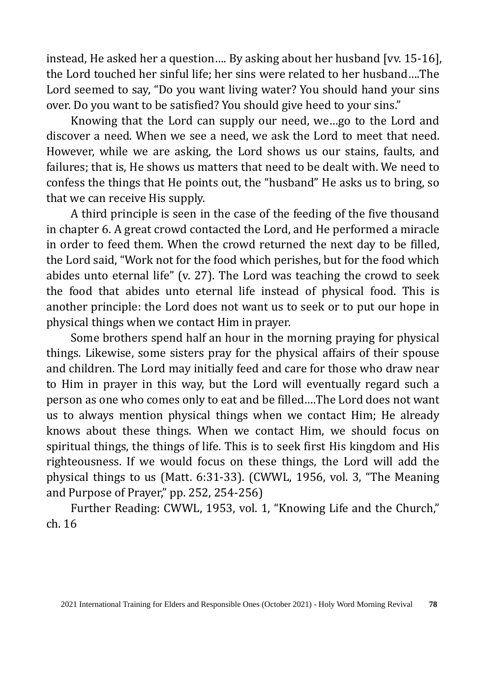instead, He asked her a question…. By asking about her husband [vv. 15-16], the Lord touched her sinful life; her sins were related to her husband….The Lord seemed to say, "Do you want living water? You should hand your sins over. Do you want to be satisfied? You should give heed to your sins."

Knowing that the Lord can supply our need, we…go to the Lord and discover a need. When we see a need, we ask the Lord to meet that need. However, while we are asking, the Lord shows us our stains, faults, and failures; that is, He shows us matters that need to be dealt with. We need to confess the things that He points out, the "husband" He asks us to bring, so that we can receive His supply.

A third principle is seen in the case of the feeding of the five thousand in chapter 6. A great crowd contacted the Lord, and He performed a miracle in order to feed them. When the crowd returned the next day to be filled, the Lord said, "Work not for the food which perishes, but for the food which abides unto eternal life" (v. 27). The Lord was teaching the crowd to seek the food that abides unto eternal life instead of physical food. This is another principle: the Lord does not want us to seek or to put our hope in physical things when we contact Him in prayer.

Some brothers spend half an hour in the morning praying for physical things. Likewise, some sisters pray for the physical affairs of their spouse and children. The Lord may initially feed and care for those who draw near to Him in prayer in this way, but the Lord will eventually regard such a person as one who comes only to eat and be filled….The Lord does not want us to always mention physical things when we contact Him; He already knows about these things. When we contact Him, we should focus on spiritual things, the things of life. This is to seek first His kingdom and His righteousness. If we would focus on these things, the Lord will add the physical things to us (Matt. 6:31-33). (CWWL, 1956, vol. 3, "The Meaning and Purpose of Prayer," pp. 252, 254-256)

Further Reading: CWWL, 1953, vol. 1, "Knowing Life and the Church," ch. 16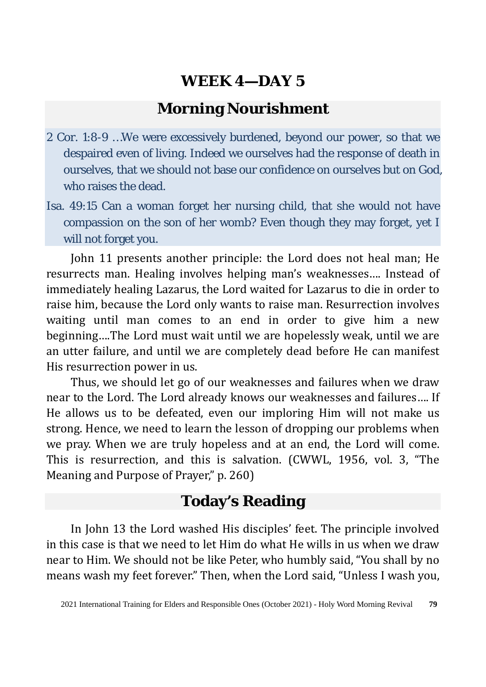# **Morning Nourishment**

- 2 Cor. 1:8-9 …We were excessively burdened, beyond our power, so that we despaired even of living. Indeed we ourselves had the response of death in ourselves, that we should not base our confidence on ourselves but on God, who raises the dead.
- Isa. 49:15 Can a woman forget her nursing child, that she would not have compassion on the son of her womb? Even though they may forget, yet I will not forget you.

John 11 presents another principle: the Lord does not heal man; He resurrects man. Healing involves helping man's weaknesses…. Instead of immediately healing Lazarus, the Lord waited for Lazarus to die in order to raise him, because the Lord only wants to raise man. Resurrection involves waiting until man comes to an end in order to give him a new beginning….The Lord must wait until we are hopelessly weak, until we are an utter failure, and until we are completely dead before He can manifest His resurrection power in us.

Thus, we should let go of our weaknesses and failures when we draw near to the Lord. The Lord already knows our weaknesses and failures…. If He allows us to be defeated, even our imploring Him will not make us strong. Hence, we need to learn the lesson of dropping our problems when we pray. When we are truly hopeless and at an end, the Lord will come. This is resurrection, and this is salvation. (CWWL, 1956, vol. 3, "The Meaning and Purpose of Prayer," p. 260)

# **Today's Reading**

In John 13 the Lord washed His disciples' feet. The principle involved in this case is that we need to let Him do what He wills in us when we draw near to Him. We should not be like Peter, who humbly said, "You shall by no means wash my feet forever." Then, when the Lord said, "Unless I wash you,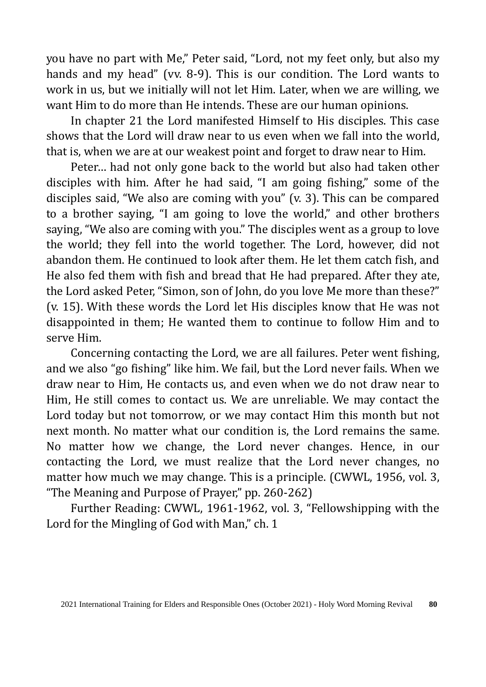you have no part with Me," Peter said, "Lord, not my feet only, but also my hands and my head" (vv. 8-9). This is our condition. The Lord wants to work in us, but we initially will not let Him. Later, when we are willing, we want Him to do more than He intends. These are our human opinions.

In chapter 21 the Lord manifested Himself to His disciples. This case shows that the Lord will draw near to us even when we fall into the world, that is, when we are at our weakest point and forget to draw near to Him.

Peter… had not only gone back to the world but also had taken other disciples with him. After he had said, "I am going fishing," some of the disciples said, "We also are coming with you" (v. 3). This can be compared to a brother saying, "I am going to love the world," and other brothers saying, "We also are coming with you." The disciples went as a group to love the world; they fell into the world together. The Lord, however, did not abandon them. He continued to look after them. He let them catch fish, and He also fed them with fish and bread that He had prepared. After they ate, the Lord asked Peter, "Simon, son of John, do you love Me more than these?" (v. 15). With these words the Lord let His disciples know that He was not disappointed in them; He wanted them to continue to follow Him and to serve Him.

Concerning contacting the Lord, we are all failures. Peter went fishing, and we also "go fishing" like him. We fail, but the Lord never fails. When we draw near to Him, He contacts us, and even when we do not draw near to Him, He still comes to contact us. We are unreliable. We may contact the Lord today but not tomorrow, or we may contact Him this month but not next month. No matter what our condition is, the Lord remains the same. No matter how we change, the Lord never changes. Hence, in our contacting the Lord, we must realize that the Lord never changes, no matter how much we may change. This is a principle. (CWWL, 1956, vol. 3, "The Meaning and Purpose of Prayer," pp. 260-262)

Further Reading: CWWL, 1961-1962, vol. 3, "Fellowshipping with the Lord for the Mingling of God with Man," ch. 1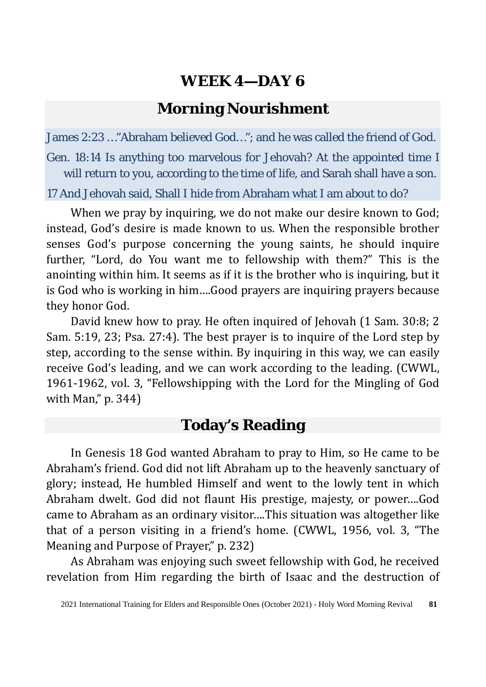### **Morning Nourishment**

James 2:23 …"Abraham believed God…"; and he was called the friend of God.

Gen. 18:14 Is anything too marvelous for Jehovah? At the appointed time I will return to you, according to the time of life, and Sarah shall have a son.

17 And Jehovah said, Shall I hide from Abraham what I am about to do?

When we pray by inquiring, we do not make our desire known to God; instead, God's desire is made known to us. When the responsible brother senses God's purpose concerning the young saints, he should inquire further, "Lord, do You want me to fellowship with them?" This is the anointing within him. It seems as if it is the brother who is inquiring, but it is God who is working in him….Good prayers are inquiring prayers because they honor God.

David knew how to pray. He often inquired of Jehovah (1 Sam. 30:8; 2 Sam. 5:19, 23; Psa. 27:4). The best prayer is to inquire of the Lord step by step, according to the sense within. By inquiring in this way, we can easily receive God's leading, and we can work according to the leading. (CWWL, 1961-1962, vol. 3, "Fellowshipping with the Lord for the Mingling of God with Man," p. 344)

## **Today's Reading**

In Genesis 18 God wanted Abraham to pray to Him, so He came to be Abraham's friend. God did not lift Abraham up to the heavenly sanctuary of glory; instead, He humbled Himself and went to the lowly tent in which Abraham dwelt. God did not flaunt His prestige, majesty, or power….God came to Abraham as an ordinary visitor….This situation was altogether like that of a person visiting in a friend's home. (CWWL, 1956, vol. 3, "The Meaning and Purpose of Prayer," p. 232)

As Abraham was enjoying such sweet fellowship with God, he received revelation from Him regarding the birth of Isaac and the destruction of

<sup>2021</sup> International Training for Elders and Responsible Ones (October 2021) - Holy Word Morning Revival **81**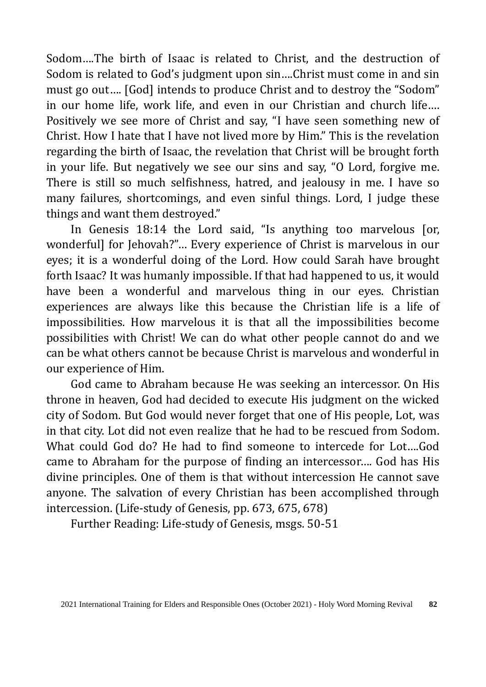Sodom….The birth of Isaac is related to Christ, and the destruction of Sodom is related to God's judgment upon sin….Christ must come in and sin must go out…. [God] intends to produce Christ and to destroy the "Sodom" in our home life, work life, and even in our Christian and church life…. Positively we see more of Christ and say, "I have seen something new of Christ. How I hate that I have not lived more by Him." This is the revelation regarding the birth of Isaac, the revelation that Christ will be brought forth in your life. But negatively we see our sins and say, "O Lord, forgive me. There is still so much selfishness, hatred, and jealousy in me. I have so many failures, shortcomings, and even sinful things. Lord, I judge these things and want them destroyed."

In Genesis 18:14 the Lord said, "Is anything too marvelous [or, wonderful] for Jehovah?"… Every experience of Christ is marvelous in our eyes; it is a wonderful doing of the Lord. How could Sarah have brought forth Isaac? It was humanly impossible. If that had happened to us, it would have been a wonderful and marvelous thing in our eyes. Christian experiences are always like this because the Christian life is a life of impossibilities. How marvelous it is that all the impossibilities become possibilities with Christ! We can do what other people cannot do and we can be what others cannot be because Christ is marvelous and wonderful in our experience of Him.

God came to Abraham because He was seeking an intercessor. On His throne in heaven, God had decided to execute His judgment on the wicked city of Sodom. But God would never forget that one of His people, Lot, was in that city. Lot did not even realize that he had to be rescued from Sodom. What could God do? He had to find someone to intercede for Lot….God came to Abraham for the purpose of finding an intercessor…. God has His divine principles. One of them is that without intercession He cannot save anyone. The salvation of every Christian has been accomplished through intercession. (Life-study of Genesis, pp. 673, 675, 678)

Further Reading: Life-study of Genesis, msgs. 50-51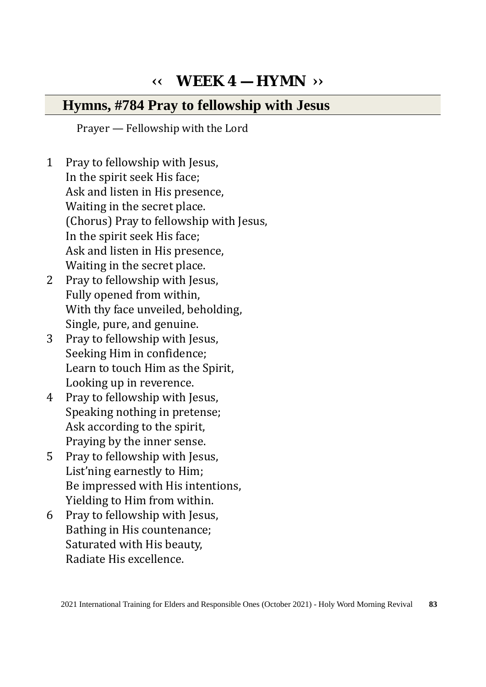# **‹‹ WEEK 4 — HYMN ››**

# **Hymns, #784 Pray to fellowship with Jesus**

Prayer — Fellowship with the Lord

- 1 Pray to fellowship with Jesus, In the spirit seek His face; Ask and listen in His presence, Waiting in the secret place. (Chorus) Pray to fellowship with Jesus, In the spirit seek His face; Ask and listen in His presence, Waiting in the secret place.
- 2 Pray to fellowship with Jesus, Fully opened from within, With thy face unveiled, beholding, Single, pure, and genuine.
- 3 Pray to fellowship with Jesus, Seeking Him in confidence; Learn to touch Him as the Spirit, Looking up in reverence.
- 4 Pray to fellowship with Jesus, Speaking nothing in pretense; Ask according to the spirit, Praying by the inner sense.
- 5 Pray to fellowship with Jesus, List'ning earnestly to Him; Be impressed with His intentions, Yielding to Him from within.
- 6 Pray to fellowship with Jesus, Bathing in His countenance; Saturated with His beauty, Radiate His excellence.